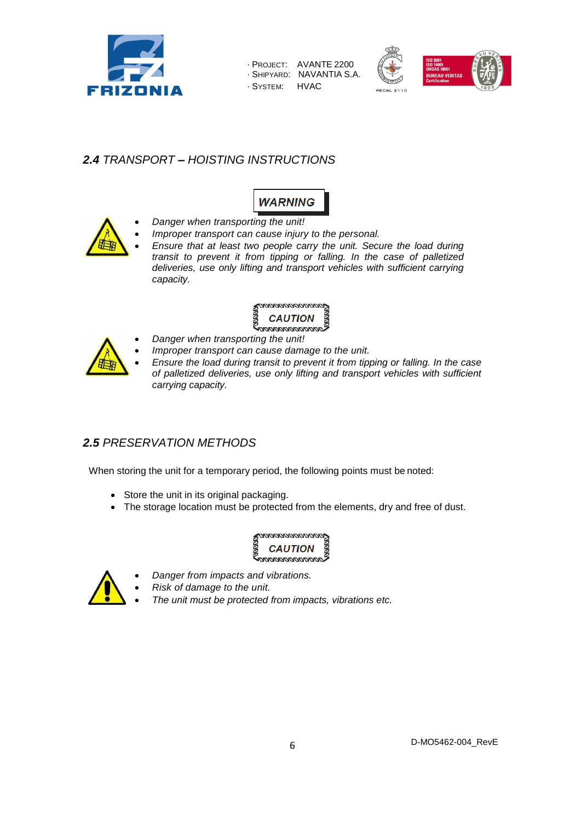

· PROJECT: AVANTE 2200 · SHIPYARD: NAVANTIA S.A. · SYSTEM: HVAC



# *2.4 TRANSPORT – HOISTING INSTRUCTIONS*



- *Danger when transporting the unit!*
	- *Improper transport can cause injury to the personal.*
	- *Ensure that at least two people carry the unit. Secure the load during transit to prevent it from tipping or falling. In the case of palletized deliveries, use only lifting and transport vehicles with sufficient carrying capacity.*

#### <u>MANANANANANAN</u> **CAUTION**

*Danger when transporting the unit!*



- *Improper transport can cause damage to the unit.*
- *Ensure the load during transit to prevent it from tipping or falling. In the case of palletized deliveries, use only lifting and transport vehicles with sufficient carrying capacity.*

## *2.5 PRESERVATION METHODS*

When storing the unit for a temporary period, the following points must be noted:

- Store the unit in its original packaging.
- The storage location must be protected from the elements, dry and free of dust.





*Danger from impacts and vibrations.*

*Risk of damage to the unit.*

*The unit must be protected from impacts, vibrations etc.*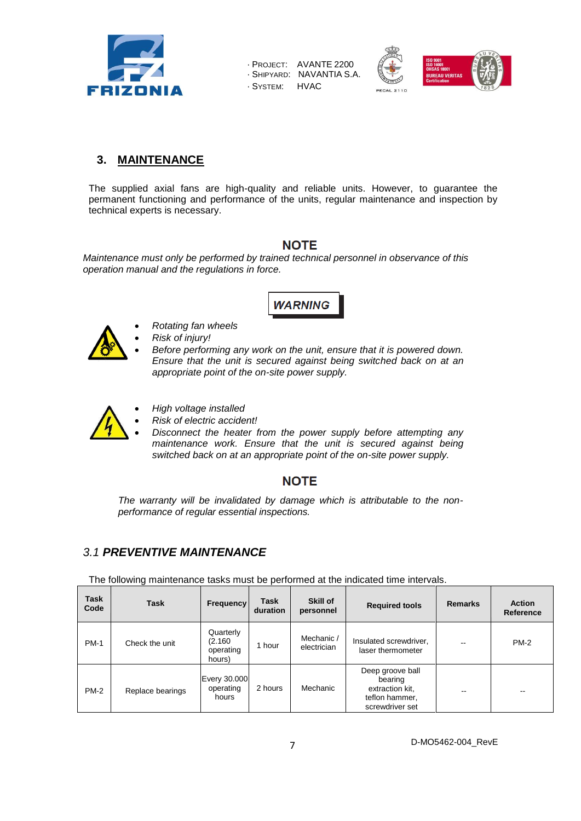

· PROJECT: AVANTE 2200 · SHIPYARD: NAVANTIA S.A. · SYSTEM: HVAC



## **3. MAINTENANCE**

The supplied axial fans are high-quality and reliable units. However, to guarantee the permanent functioning and performance of the units, regular maintenance and inspection by technical experts is necessary.

## **NOTE**

*Maintenance must only be performed by trained technical personnel in observance of this operation manual and the regulations in force.*



- 
- *Rotating fan wheels Risk of injury!*
- *Before performing any work on the unit, ensure that it is powered down. Ensure that the unit is secured against being switched back on at an appropriate point of the on-site power supply.*
- *High voltage installed Risk of electric accident!* 
	- *Disconnect the heater from the power supply before attempting any maintenance work. Ensure that the unit is secured against being switched back on at an appropriate point of the on-site power supply.*

# **NOTE**

*The warranty will be invalidated by damage which is attributable to the nonperformance of regular essential inspections.*

# *3.1 PREVENTIVE MAINTENANCE*

The following maintenance tasks must be performed at the indicated time intervals.

| <b>Task</b><br>Code | <b>Task</b>      | <b>Frequency</b>                           | Task<br>duration | Skill of<br>personnel     | <b>Required tools</b>                                                               | <b>Remarks</b>           | <b>Action</b><br>Reference |
|---------------------|------------------|--------------------------------------------|------------------|---------------------------|-------------------------------------------------------------------------------------|--------------------------|----------------------------|
| <b>PM-1</b>         | Check the unit   | Quarterly<br>(2.160<br>operating<br>hours) | hour             | Mechanic /<br>electrician | Insulated screwdriver,<br>laser thermometer                                         | $- -$                    | $PM-2$                     |
| $PM-2$              | Replace bearings | Every 30.000<br>operating<br>hours         | 2 hours          | Mechanic                  | Deep groove ball<br>bearing<br>extraction kit.<br>teflon hammer,<br>screwdriver set | $\overline{\phantom{m}}$ | $- -$                      |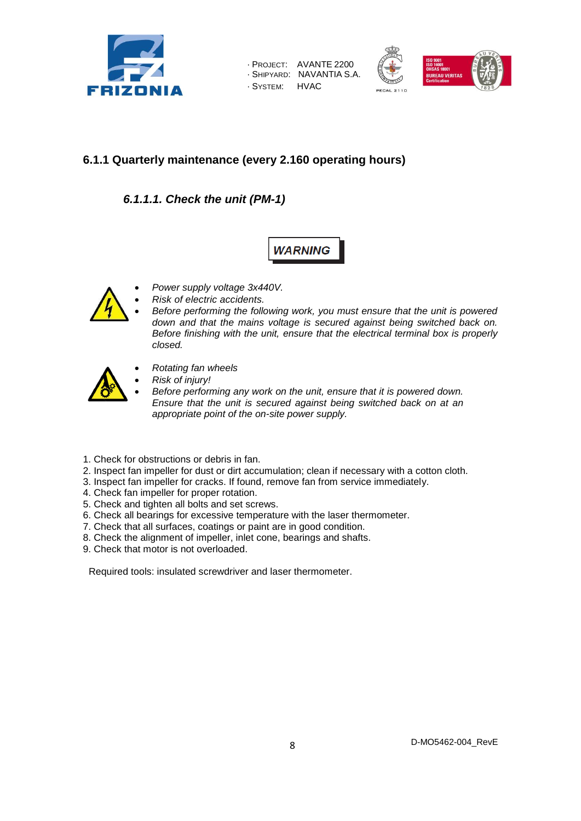

| - Project:  | AVANTE 2200   |
|-------------|---------------|
| - SHIPYARD: | NAVANTIA S.A. |
| · SYSTEM:   | <b>HVAC</b>   |



## **6.1.1 Quarterly maintenance (every 2.160 operating hours)**

*6.1.1.1. Check the unit (PM-1)*

**WARNING** 



- *Power supply voltage 3x440V.*
- *Risk of electric accidents.*
- *Before performing the following work, you must ensure that the unit is powered down and that the mains voltage is secured against being switched back on. Before finishing with the unit, ensure that the electrical terminal box is properly closed.*



- *Rotating fan wheels*
- *Risk of injury!*
- *Before performing any work on the unit, ensure that it is powered down. Ensure that the unit is secured against being switched back on at an appropriate point of the on-site power supply.*
- 1. Check for obstructions or debris in fan.
- 2. Inspect fan impeller for dust or dirt accumulation; clean if necessary with a cotton cloth.
- 3. Inspect fan impeller for cracks. If found, remove fan from service immediately.
- 4. Check fan impeller for proper rotation.
- 5. Check and tighten all bolts and set screws.
- 6. Check all bearings for excessive temperature with the laser thermometer.
- 7. Check that all surfaces, coatings or paint are in good condition.
- 8. Check the alignment of impeller, inlet cone, bearings and shafts.
- 9. Check that motor is not overloaded.

Required tools: insulated screwdriver and laser thermometer.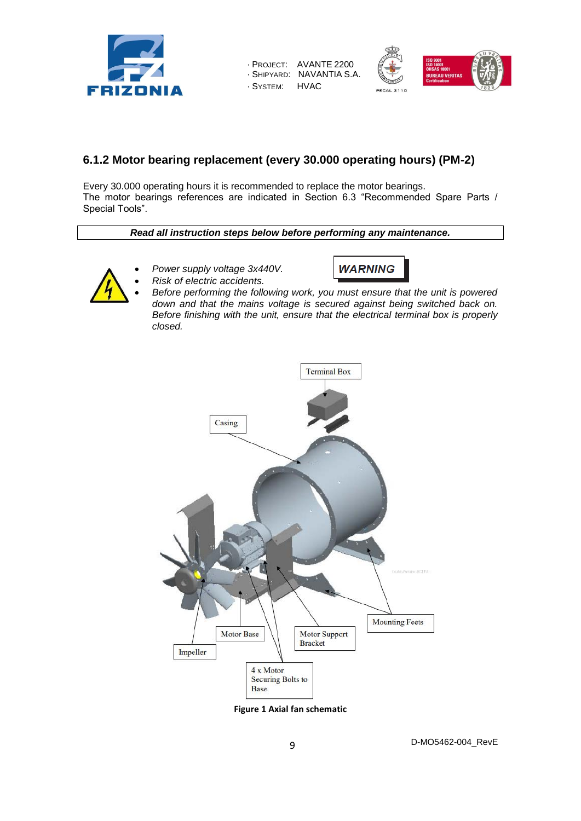

· PROJECT: AVANTE 2200 · SHIPYARD: NAVANTIA S.A. · SYSTEM: HVAC



### **6.1.2 Motor bearing replacement (every 30.000 operating hours) (PM-2)**

Every 30.000 operating hours it is recommended to replace the motor bearings. The motor bearings references are indicated in Section 6.3 "Recommended Spare Parts / Special Tools".

*Read all instruction steps below before performing any maintenance.* 

- *Power supply voltage 3x440V.*
	- *Risk of electric accidents.*



- 
- *Before performing the following work, you must ensure that the unit is powered down and that the mains voltage is secured against being switched back on. Before finishing with the unit, ensure that the electrical terminal box is properly closed.*



**Figure 1 Axial fan schematic**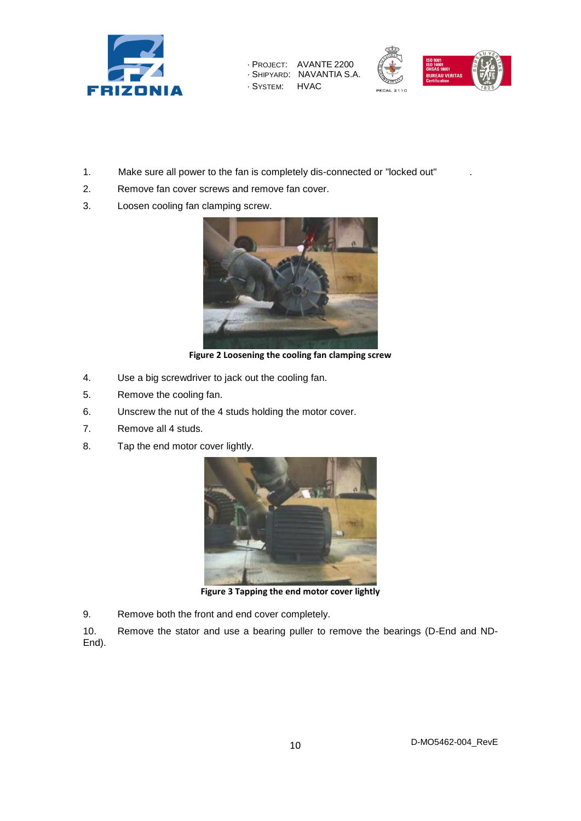

· PROJECT: AVANTE 2200 · SHIPYARD: NAVANTIA S.A. · SYSTEM: HVAC



- 1. Make sure all power to the fan is completely dis-connected or "locked out" .
- 2. Remove fan cover screws and remove fan cover.
- 3. Loosen cooling fan clamping screw.



**Figure 2 Loosening the cooling fan clamping screw**

- 4. Use a big screwdriver to jack out the cooling fan.
- 5. Remove the cooling fan.
- 6. Unscrew the nut of the 4 studs holding the motor cover.
- 7. Remove all 4 studs.
- 8. Tap the end motor cover lightly.



**Figure 3 Tapping the end motor cover lightly**

9. Remove both the front and end cover completely.

10. Remove the stator and use a bearing puller to remove the bearings (D-End and ND-End).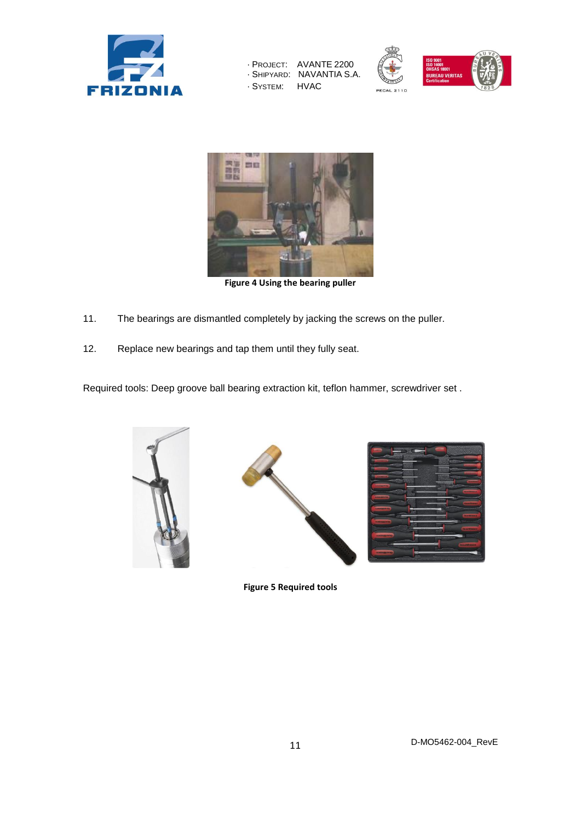

| - Project:  | AVANTE 2200   |
|-------------|---------------|
| - SHIPYARD: | NAVANTIA S.A. |
| . SYSTEM:   | <b>HVAC</b>   |





**Figure 4 Using the bearing puller** 

- 11. The bearings are dismantled completely by jacking the screws on the puller.
- 12. Replace new bearings and tap them until they fully seat.

Required tools: Deep groove ball bearing extraction kit, teflon hammer, screwdriver set .







**Figure 5 Required tools**